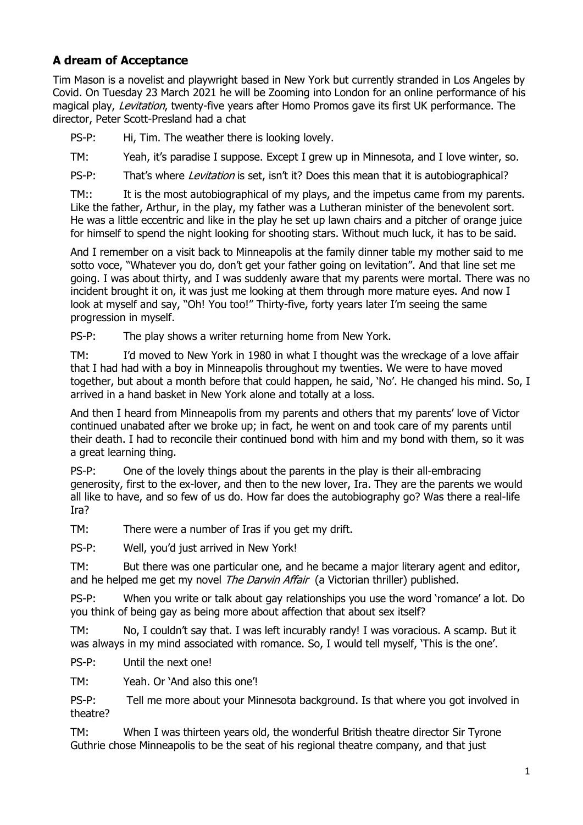## **A dream of Acceptance**

Tim Mason is a novelist and playwright based in New York but currently stranded in Los Angeles by Covid. On Tuesday 23 March 2021 he will be Zooming into London for an online performance of his magical play, Levitation, twenty-five years after Homo Promos gave its first UK performance. The director, Peter Scott-Presland had a chat

PS-P: Hi, Tim. The weather there is looking lovely.

TM: Yeah, it's paradise I suppose. Except I grew up in Minnesota, and I love winter, so.

PS-P: That's where *Levitation* is set, isn't it? Does this mean that it is autobiographical?

TM:: It is the most autobiographical of my plays, and the impetus came from my parents. Like the father, Arthur, in the play, my father was a Lutheran minister of the benevolent sort. He was a little eccentric and like in the play he set up lawn chairs and a pitcher of orange juice for himself to spend the night looking for shooting stars. Without much luck, it has to be said.

And I remember on a visit back to Minneapolis at the family dinner table my mother said to me sotto voce, "Whatever you do, don't get your father going on levitation". And that line set me going. I was about thirty, and I was suddenly aware that my parents were mortal. There was no incident brought it on, it was just me looking at them through more mature eyes. And now I look at myself and say, "Oh! You too!" Thirty-five, forty years later I'm seeing the same progression in myself.

PS-P: The play shows a writer returning home from New York.

TM: I'd moved to New York in 1980 in what I thought was the wreckage of a love affair that I had had with a boy in Minneapolis throughout my twenties. We were to have moved together, but about a month before that could happen, he said, 'No'. He changed his mind. So, I arrived in a hand basket in New York alone and totally at a loss.

And then I heard from Minneapolis from my parents and others that my parents' love of Victor continued unabated after we broke up; in fact, he went on and took care of my parents until their death. I had to reconcile their continued bond with him and my bond with them, so it was a great learning thing.

PS-P: One of the lovely things about the parents in the play is their all-embracing generosity, first to the ex-lover, and then to the new lover, Ira. They are the parents we would all like to have, and so few of us do. How far does the autobiography go? Was there a real-life Ira?

TM: There were a number of Iras if you get my drift.

PS-P: Well, you'd just arrived in New York!

TM: But there was one particular one, and he became a major literary agent and editor, and he helped me get my novel *The Darwin Affair* (a Victorian thriller) published.

PS-P: When you write or talk about gay relationships you use the word 'romance' a lot. Do you think of being gay as being more about affection that about sex itself?

TM: No, I couldn't say that. I was left incurably randy! I was voracious. A scamp. But it was always in my mind associated with romance. So, I would tell myself, 'This is the one'.

PS-P: Until the next one!

TM: Yeah. Or 'And also this one'!

PS-P: Tell me more about your Minnesota background. Is that where you got involved in theatre?

TM: When I was thirteen years old, the wonderful British theatre director Sir Tyrone Guthrie chose Minneapolis to be the seat of his regional theatre company, and that just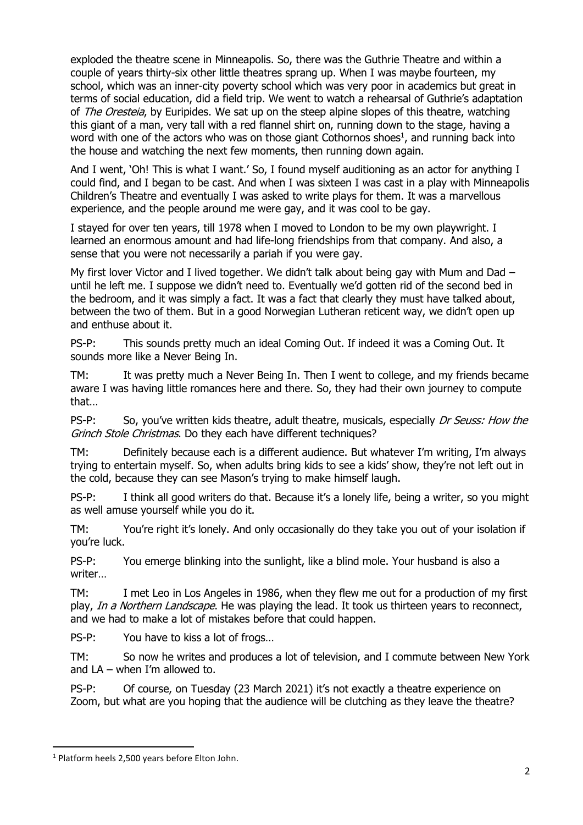exploded the theatre scene in Minneapolis. So, there was the Guthrie Theatre and within a couple of years thirty-six other little theatres sprang up. When I was maybe fourteen, my school, which was an inner-city poverty school which was very poor in academics but great in terms of social education, did a field trip. We went to watch a rehearsal of Guthrie's adaptation of *The Oresteia*, by Euripides. We sat up on the steep alpine slopes of this theatre, watching this giant of a man, very tall with a red flannel shirt on, running down to the stage, having a word with one of the actors who was on those giant Cothornos shoes $<sup>1</sup>$ , and running back into</sup> the house and watching the next few moments, then running down again.

And I went, 'Oh! This is what I want.' So, I found myself auditioning as an actor for anything I could find, and I began to be cast. And when I was sixteen I was cast in a play with Minneapolis Children's Theatre and eventually I was asked to write plays for them. It was a marvellous experience, and the people around me were gay, and it was cool to be gay.

I stayed for over ten years, till 1978 when I moved to London to be my own playwright. I learned an enormous amount and had life-long friendships from that company. And also, a sense that you were not necessarily a pariah if you were gay.

My first lover Victor and I lived together. We didn't talk about being gay with Mum and Dad – until he left me. I suppose we didn't need to. Eventually we'd gotten rid of the second bed in the bedroom, and it was simply a fact. It was a fact that clearly they must have talked about, between the two of them. But in a good Norwegian Lutheran reticent way, we didn't open up and enthuse about it.

PS-P: This sounds pretty much an ideal Coming Out. If indeed it was a Coming Out. It sounds more like a Never Being In.

TM: It was pretty much a Never Being In. Then I went to college, and my friends became aware I was having little romances here and there. So, they had their own journey to compute that…

PS-P: So, you've written kids theatre, adult theatre, musicals, especially *Dr Seuss: How the* Grinch Stole Christmas. Do they each have different techniques?

TM: Definitely because each is a different audience. But whatever I'm writing, I'm always trying to entertain myself. So, when adults bring kids to see a kids' show, they're not left out in the cold, because they can see Mason's trying to make himself laugh.

PS-P: I think all good writers do that. Because it's a lonely life, being a writer, so you might as well amuse yourself while you do it.

TM: You're right it's lonely. And only occasionally do they take you out of your isolation if you're luck.

PS-P: You emerge blinking into the sunlight, like a blind mole. Your husband is also a writer…

TM: I met Leo in Los Angeles in 1986, when they flew me out for a production of my first play, In a Northern Landscape. He was playing the lead. It took us thirteen years to reconnect, and we had to make a lot of mistakes before that could happen.

PS-P: You have to kiss a lot of frogs…

TM: So now he writes and produces a lot of television, and I commute between New York and LA – when I'm allowed to.

PS-P: Of course, on Tuesday (23 March 2021) it's not exactly a theatre experience on Zoom, but what are you hoping that the audience will be clutching as they leave the theatre?

<sup>&</sup>lt;sup>1</sup> Platform heels 2,500 years before Elton John.